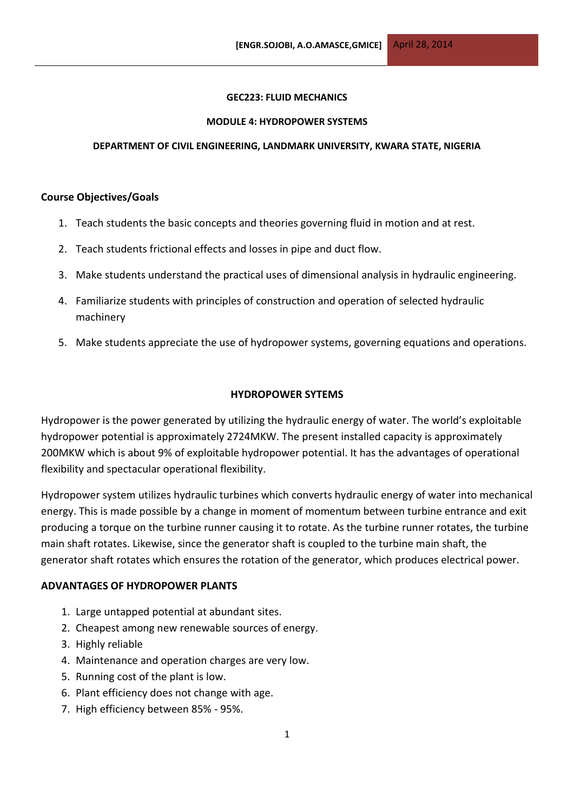### **GEC223: FLUID MECHANICS**

### **MODULE 4: HYDROPOWER SYSTEMS**

## **DEPARTMENT OF CIVIL ENGINEERING, LANDMARK UNIVERSITY, KWARA STATE, NIGERIA**

## **Course Objectives/Goals**

- 1. Teach students the basic concepts and theories governing fluid in motion and at rest.
- 2. Teach students frictional effects and losses in pipe and duct flow.
- 3. Make students understand the practical uses of dimensional analysis in hydraulic engineering.
- 4. Familiarize students with principles of construction and operation of selected hydraulic machinery
- 5. Make students appreciate the use of hydropower systems, governing equations and operations.

# **HYDROPOWER SYTEMS**

Hydropower is the power generated by utilizing the hydraulic energy of water. The world's exploitable hydropower potential is approximately 2724MKW. The present installed capacity is approximately 200MKW which is about 9% of exploitable hydropower potential. It has the advantages of operational flexibility and spectacular operational flexibility.

Hydropower system utilizes hydraulic turbines which converts hydraulic energy of water into mechanical energy. This is made possible by a change in moment of momentum between turbine entrance and exit producing a torque on the turbine runner causing it to rotate. As the turbine runner rotates, the turbine main shaft rotates. Likewise, since the generator shaft is coupled to the turbine main shaft, the generator shaft rotates which ensures the rotation of the generator, which produces electrical power.

# **ADVANTAGES OF HYDROPOWER PLANTS**

- 1. Large untapped potential at abundant sites.
- 2. Cheapest among new renewable sources of energy.
- 3. Highly reliable
- 4. Maintenance and operation charges are very low.
- 5. Running cost of the plant is low.
- 6. Plant efficiency does not change with age.
- 7. High efficiency between 85% 95%.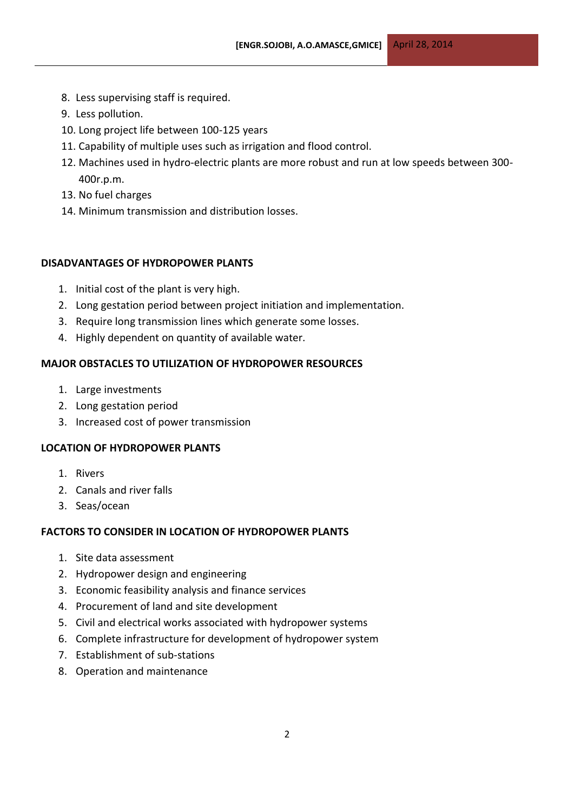- 8. Less supervising staff is required.
- 9. Less pollution.
- 10. Long project life between 100-125 years
- 11. Capability of multiple uses such as irrigation and flood control.
- 12. Machines used in hydro-electric plants are more robust and run at low speeds between 300- 400r.p.m.
- 13. No fuel charges
- 14. Minimum transmission and distribution losses.

# **DISADVANTAGES OF HYDROPOWER PLANTS**

- 1. Initial cost of the plant is very high.
- 2. Long gestation period between project initiation and implementation.
- 3. Require long transmission lines which generate some losses.
- 4. Highly dependent on quantity of available water.

# **MAJOR OBSTACLES TO UTILIZATION OF HYDROPOWER RESOURCES**

- 1. Large investments
- 2. Long gestation period
- 3. Increased cost of power transmission

# **LOCATION OF HYDROPOWER PLANTS**

- 1. Rivers
- 2. Canals and river falls
- 3. Seas/ocean

# **FACTORS TO CONSIDER IN LOCATION OF HYDROPOWER PLANTS**

- 1. Site data assessment
- 2. Hydropower design and engineering
- 3. Economic feasibility analysis and finance services
- 4. Procurement of land and site development
- 5. Civil and electrical works associated with hydropower systems
- 6. Complete infrastructure for development of hydropower system
- 7. Establishment of sub-stations
- 8. Operation and maintenance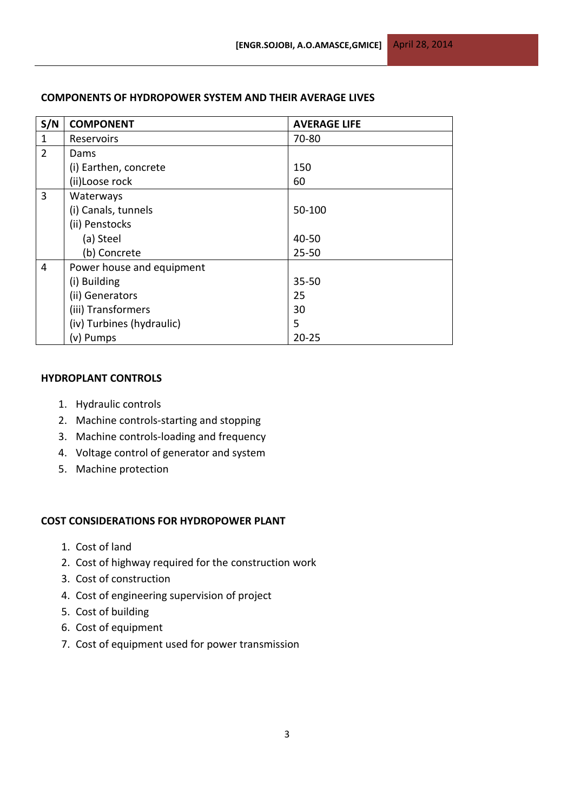| S/N            | <b>COMPONENT</b>          | <b>AVERAGE LIFE</b> |
|----------------|---------------------------|---------------------|
| $\mathbf{1}$   | Reservoirs                | 70-80               |
| $\overline{2}$ | Dams                      |                     |
|                | (i) Earthen, concrete     | 150                 |
|                | (ii)Loose rock            | 60                  |
| $\overline{3}$ | Waterways                 |                     |
|                | (i) Canals, tunnels       | 50-100              |
|                | (ii) Penstocks            |                     |
|                | (a) Steel                 | 40-50               |
|                | (b) Concrete              | $25 - 50$           |
| $\overline{4}$ | Power house and equipment |                     |
|                | (i) Building              | $35 - 50$           |
|                | (ii) Generators           | 25                  |
|                | (iii) Transformers        | 30                  |
|                | (iv) Turbines (hydraulic) | 5                   |
|                | (v) Pumps                 | $20 - 25$           |

# **COMPONENTS OF HYDROPOWER SYSTEM AND THEIR AVERAGE LIVES**

## **HYDROPLANT CONTROLS**

- 1. Hydraulic controls
- 2. Machine controls-starting and stopping
- 3. Machine controls-loading and frequency
- 4. Voltage control of generator and system
- 5. Machine protection

### **COST CONSIDERATIONS FOR HYDROPOWER PLANT**

- 1. Cost of land
- 2. Cost of highway required for the construction work
- 3. Cost of construction
- 4. Cost of engineering supervision of project
- 5. Cost of building
- 6. Cost of equipment
- 7. Cost of equipment used for power transmission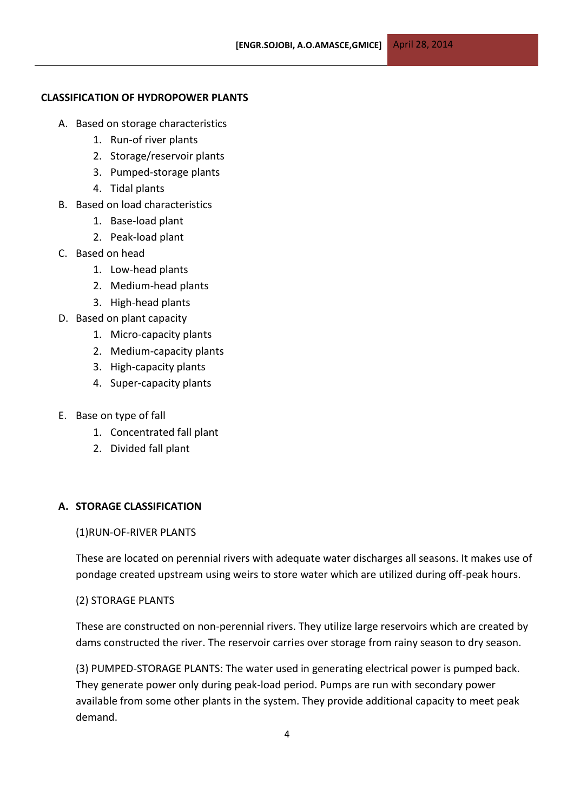## **CLASSIFICATION OF HYDROPOWER PLANTS**

- A. Based on storage characteristics
	- 1. Run-of river plants
	- 2. Storage/reservoir plants
	- 3. Pumped-storage plants
	- 4. Tidal plants
- B. Based on load characteristics
	- 1. Base-load plant
	- 2. Peak-load plant
- C. Based on head
	- 1. Low-head plants
	- 2. Medium-head plants
	- 3. High-head plants
- D. Based on plant capacity
	- 1. Micro-capacity plants
	- 2. Medium-capacity plants
	- 3. High-capacity plants
	- 4. Super-capacity plants
- E. Base on type of fall
	- 1. Concentrated fall plant
	- 2. Divided fall plant

## **A. STORAGE CLASSIFICATION**

#### (1)RUN-OF-RIVER PLANTS

These are located on perennial rivers with adequate water discharges all seasons. It makes use of pondage created upstream using weirs to store water which are utilized during off-peak hours.

#### (2) STORAGE PLANTS

These are constructed on non-perennial rivers. They utilize large reservoirs which are created by dams constructed the river. The reservoir carries over storage from rainy season to dry season.

(3) PUMPED-STORAGE PLANTS: The water used in generating electrical power is pumped back. They generate power only during peak-load period. Pumps are run with secondary power available from some other plants in the system. They provide additional capacity to meet peak demand.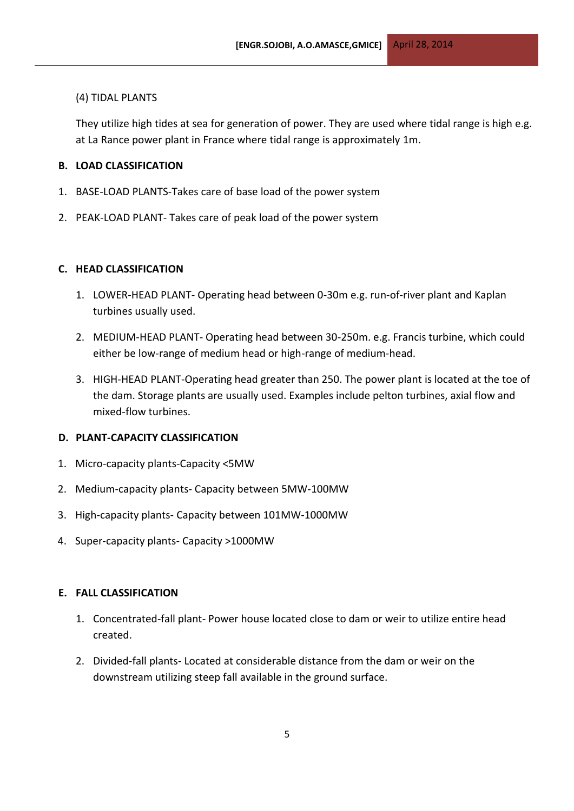## (4) TIDAL PLANTS

They utilize high tides at sea for generation of power. They are used where tidal range is high e.g. at La Rance power plant in France where tidal range is approximately 1m.

## **B. LOAD CLASSIFICATION**

- 1. BASE-LOAD PLANTS-Takes care of base load of the power system
- 2. PEAK-LOAD PLANT- Takes care of peak load of the power system

## **C. HEAD CLASSIFICATION**

- 1. LOWER-HEAD PLANT- Operating head between 0-30m e.g. run-of-river plant and Kaplan turbines usually used.
- 2. MEDIUM-HEAD PLANT- Operating head between 30-250m. e.g. Francis turbine, which could either be low-range of medium head or high-range of medium-head.
- 3. HIGH-HEAD PLANT-Operating head greater than 250. The power plant is located at the toe of the dam. Storage plants are usually used. Examples include pelton turbines, axial flow and mixed-flow turbines.

## **D. PLANT-CAPACITY CLASSIFICATION**

- 1. Micro-capacity plants-Capacity <5MW
- 2. Medium-capacity plants- Capacity between 5MW-100MW
- 3. High-capacity plants- Capacity between 101MW-1000MW
- 4. Super-capacity plants- Capacity >1000MW

### **E. FALL CLASSIFICATION**

- 1. Concentrated-fall plant- Power house located close to dam or weir to utilize entire head created.
- 2. Divided-fall plants- Located at considerable distance from the dam or weir on the downstream utilizing steep fall available in the ground surface.